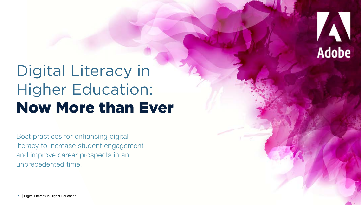

# Digital Literacy in Higher Education: Now More than Ever

Best practices for enhancing digital literacy to increase student engagement and improve career prospects in an unprecedented time.

**1** | Digital Literacy in Higher Education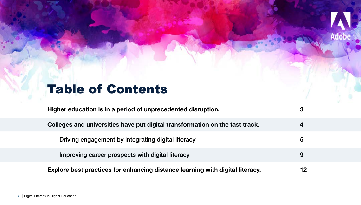# Table of Contents

| Higher education is in a period of unprecedented disruption.                  | З  |
|-------------------------------------------------------------------------------|----|
| Colleges and universities have put digital transformation on the fast track.  | 4  |
| Driving engagement by integrating digital literacy                            | 5  |
| Improving career prospects with digital literacy                              | 9  |
| Explore best practices for enhancing distance learning with digital literacy. | 12 |

Adobe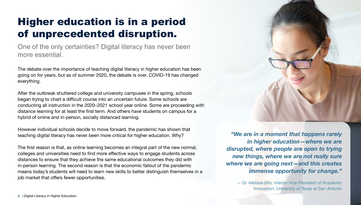# Higher education is in a period of unprecedented disruption.

One of the only certainties? Digital literacy has never been more essential.

The debate over the importance of teaching digital literacy in higher education has been going on for years, but as of summer 2020, the debate is over. COVID-19 has changed everything.

After the outbreak shuttered college and university campuses in the spring, schools began trying to chart a difficult course into an uncertain future. Some schools are conducting all instruction in the 2020–2021 school year online. Some are proceeding with distance learning for at least the first term. And others have students on campus for a hybrid of online and in-person, socially distanced learning.

However individual schools decide to move forward, the pandemic has shown that teaching digital literacy has never been more critical for higher education. Why?

The first reason is that, as online learning becomes an integral part of the new normal, colleges and universities need to find more effective ways to engage students across distances to ensure that they achieve the same educational outcomes they did with in-person learning. The second reason is that the economic fallout of the pandemic means today's students will need to learn new skills to better distinguish themselves in a job market that offers fewer opportunities.



*— Dr. Melissa Vito, Interim Vice President of Academic Innovation, University of Texas at San Antonio*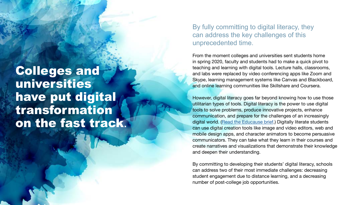Colleges and universities have put digital transformation on the fast track.

 $44$   $44$   $44$   $44$   $44$   $44$   $44$ 

By fully committing to digital literacy, they can address the key challenges of this unprecedented time.

From the moment colleges and universities sent students home in spring 2020, faculty and students had to make a quick pivot to teaching and learning with digital tools. Lecture halls, classrooms, and labs were replaced by video conferencing apps like Zoom and Skype, learning management systems like Canvas and Blackboard, and online learning communities like Skillshare and Coursera.

However, digital literacy goes far beyond knowing how to use those utilitarian types of tools. Digital literacy is the power to use digital tools to solve problems, produce innovative projects, enhance communication, and prepare for the challenges of an increasingly digital world. ([Read the Educause brief.](https://library.educause.edu/resources/2017/8/digital-literacy-in-higher-education-part-ii-an-nmc-horizon-project-strategic-brief)) Digitally literate students can use digital creation tools like image and video editors, web and mobile design apps, and character animators to become persuasive communicators. They can take what they learn in their courses and create narratives and visualizations that demonstrate their knowledge and deepen their understanding.

By committing to developing their students' digital literacy, schools can address two of their most immediate challenges: decreasing student engagement due to distance learning, and a decreasing number of post-college job opportunities.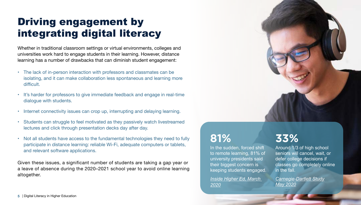# Driving engagement by integrating digital literacy

Whether in traditional classroom settings or virtual environments, colleges and universities work hard to engage students in their learning. However, distance learning has a number of drawbacks that can diminish student engagement:

- The lack of in-person interaction with professors and classmates can be isolating, and it can make collaboration less spontaneous and learning more difficult.
- It's harder for professors to give immediate feedback and engage in real-time dialogue with students.
- Internet connectivity issues can crop up, interrupting and delaying learning.
- Students can struggle to feel motivated as they passively watch livestreamed lectures and click through presentation decks day after day.
- Not all students have access to the fundamental technologies they need to fully participate in distance learning: reliable Wi-Fi, adequate computers or tablets, and relevant software applications.

Given these issues, a significant number of students are taking a gap year or a leave of absence during the 2020–2021 school year to avoid online learning altogether.



## **81%**

In the sudden, forced shift to remote learning, 81% of university presidents said their biggest concern is keeping students engaged.

*[Inside Higher Ed, March](https://www.insidehighered.com/news/survey/college-presidents-fear-financial-and-human-toll-coronavirus-their-campuses)  [2020](https://www.insidehighered.com/news/survey/college-presidents-fear-financial-and-human-toll-coronavirus-their-campuses)*

# **33%**

Around 1/3 of high school seniors will cancel, wait, or defer college decisions if classes go completely online in the fall.

*[Carnegie-Dartlett Study](https://www.carnegiedartlet.com/media/uploads/carnegie-dartlet_covid-19_senior-decision-study.pdf) [May 2020](https://www.carnegiedartlet.com/media/uploads/carnegie-dartlet_covid-19_senior-decision-study.pdf)*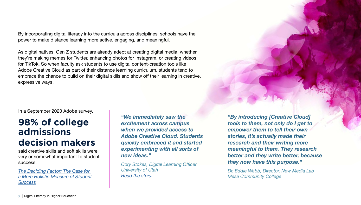By incorporating digital literacy into the curricula across disciplines, schools have the power to make distance learning more active, engaging, and meaningful.

As digital natives, Gen Z students are already adept at creating digital media, whether they're making memes for Twitter, enhancing photos for Instagram, or creating videos for TikTok. So when faculty ask students to use digital content-creation tools like Adobe Creative Cloud as part of their distance learning curriculum, students tend to embrace the chance to build on their digital skills and show off their learning in creative, expressive ways.

In a September 2020 Adobe survey,

## **98% of college admissions decision makers**

said creative skills and soft skills were very or somewhat important to student success.

*[The Deciding Factor: The Case for](https://www.adobeforeducation.com/higher-ed/creative-literacy)  [a More Holistic Measure of Student](https://www.adobeforeducation.com/higher-ed/creative-literacy)  [Success](https://www.adobeforeducation.com/higher-ed/creative-literacy)*

*"We immediately saw the excitement across campus when we provided access to Adobe Creative Cloud. Students quickly embraced it and started experimenting with all sorts of new ideas."* 

*Cory Stokes, Digital Learning Officer University of Utah [Read the story](https://theblog.adobe.com/doubling-down-on-digital-literacy-in-utah-with-creative-tools/).*

*"By introducing [Creative Cloud] tools to them, not only do I get to empower them to tell their own stories, it's actually made their research and their writing more meaningful to them. They research better and they write better, because they now have this purpose."*

*Dr. Eddie Webb, Director, New Media Lab Mesa Community College*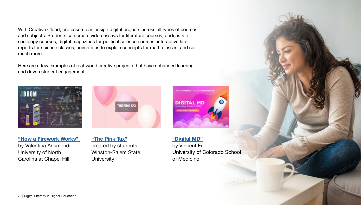With Creative Cloud, professors can assign digital projects across all types of courses and subjects. Students can create video essays for literature courses, podcasts for sociology courses, digital magazines for political science courses, interactive lab reports for science classes, animations to explain concepts for math classes, and so much more.

Here are a few examples of real-world creative projects that have enhanced learning and driven student engagement:







**["How a Firework Works"](https://valenar.myportfolio.com/the-big-boom)** by Valentina Arismendi University of North Carolina at Chapel Hill

**["The Pink Tax"](https://spark.adobe.com/page/33uG2T8VXFM9b/)** created by students Winston-Salem State **University** 

### **["Digital MD"](https://blog.adobe.com/en/2020/03/09/prescribing-digital-literacy-for-medical-professionals-with-adobe-creative-cloud.html)**

by Vincent Fu University of Colorado School of Medicine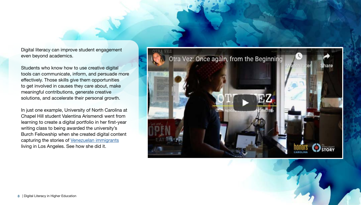Digital literacy can improve student engagement even beyond academics.

Students who know how to use creative digital tools can communicate, inform, and persuade more effectively. Those skills give them opportunities to get involved in causes they care about, make meaningful contributions, generate creative solutions, and accelerate their personal growth.

In just one example, University of North Carolina at Chapel Hill student Valentina Arismendi went from learning to create a digital portfolio in her first-year writing class to being awarded the university's Burch Fellowship when she created digital content capturing the stories of [Venezuelan immigrants](https://valenar.myportfolio.com/burch-fellowship) living in Los Angeles. See how she did it.



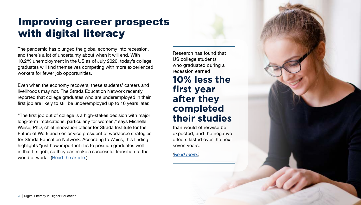# Improving career prospects with digital literacy

The pandemic has plunged the global economy into recession, and there's a lot of uncertainty about when it will end. With 10.2% unemployment in the US as of July 2020, today's college graduates will find themselves competing with more experienced workers for fewer job opportunities.

Even when the economy recovers, these students' careers and livelihoods may not. The Strada Education Network recently reported that college graduates who are underemployed in their first job are likely to still be underemployed up to 10 years later.

"The first job out of college is a high-stakes decision with major long-term implications, particularly for women," says Michelle Weise, PhD, chief innovation officer for Strada Institute for the Future of Work and senior vice president of workforce strategies for Strada Education Network. According to Weiss, this finding highlights "just how important it is to position graduates well in that first job, so they can make a successful transition to the world of work." ([Read the article.](https://www.stradaeducation.org/press-release/pomp-and-circumstances-new-study-finds-most-college-graduates-who-start-out-underemployed-stay-there/))

Research has found that US college students who graduated during a recession earned **10% less the first year after they completed their studies**

than would otherwise be expected, and the negative effects lasted over the next seven years.

*([Read more](https://www.journals.uchicago.edu/doi/10.1086/682938).)*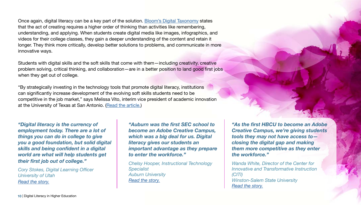Once again, digital literacy can be a key part of the solution. [Bloom's Digital Taxonomy](https://www.teachthought.com/critical-thinking/blooms-digital-taxonomy-verbs-21st-century-students/https://www.teachthought.com/critical-thinking/blooms-digital-taxonomy-verbs-21st-century-students/) states that the act of creating requires a higher order of thinking than activities like remembering, understanding, and applying. When students create digital media like images, infographics, and videos for their college classes, they gain a deeper understanding of the content and retain it longer. They think more critically, develop better solutions to problems, and communicate in more innovative ways.

Students with digital skills and the soft skills that come with them—including creativity, creative problem solving, critical thinking, and collaboration—are in a better position to land good first jobs when they get out of college.

"By strategically investing in the technology tools that promote digital literacy, institutions can significantly increase development of the evolving soft skills students need to be competitive in the job market," says Melissa Vito, interim vice president of academic innovation at the University of Texas at San Antonio. ([Read the article.](https://evolllution.com/attracting-students/todays_learner/our-graduates-are-underemployed-so-what-are-we-doing-about-it/))

*"Digital literacy is the currency of employment today. There are a lot of things you can do in college to give you a good foundation, but solid digital skills and being confident in a digital world are what will help students get their first job out of college."*

*Cory Stokes, Digital Learning Officer University of Utah [Read the story.](https://theblog.adobe.com/doubling-down-on-digital-literacy-in-utah-with-creative-tools/)*

*"Auburn was the first SEC school to become an Adobe Creative Campus, which was a big deal for us. Digital literacy gives our students an important advantage as they prepare to enter the workforce."*

*Chelsy Hooper, Instructional Technology Specialist Auburn University [Read the story.](https://theblog.adobe.com/auburn-university-starts-a-legacy-of-digital-literacy-for-tomorrows-students/)*

*"As the first HBCU to become an Adobe Creative Campus, we're giving students tools they may not have access to closing the digital gap and making them more competitive as they enter the workforce."*

*Wanda White, Director of the Center for Innovative and Transformative Instruction (CITI) Winston-Salem State University [Read the story](https://theblog.adobe.com/digital-literacy-gives-students-an-advantage-at-winston-salem-state-university/).*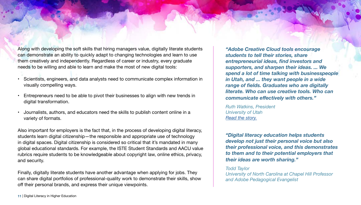Along with developing the soft skills that hiring managers value, digitally literate students can demonstrate an ability to quickly adapt to changing technologies and learn to use them creatively and independently. Regardless of career or industry, every graduate needs to be willing and able to learn and make the most of new digital tools:

- Scientists, engineers, and data analysts need to communicate complex information in visually compelling ways.
- Entrepreneurs need to be able to pivot their businesses to align with new trends in digital transformation.
- Journalists, authors, and educators need the skills to publish content online in a variety of formats.

Also important for employers is the fact that, in the process of developing digital literacy, students learn digital citizenship—the responsible and appropriate use of technology in digital spaces. Digital citizenship is considered so critical that it's mandated in many global educational standards. For example, the ISTE Student Standards and AACU value rubrics require students to be knowledgeable about copyright law, online ethics, privacy, and security.

Finally, digitally literate students have another advantage when applying for jobs. They can share digital portfolios of professional-quality work to demonstrate their skills, show off their personal brands, and express their unique viewpoints.

*"Adobe Creative Cloud tools encourage students to tell their stories, share entrepreneurial ideas, find investors and supporters, and sharpen their ideas. ... We spend a lot of time talking with businesspeople in Utah, and ... they want people in a wide range of fields. Graduates who are digitally literate. Who can use creative tools. Who can communicate effectively with others."* 

*Ruth Watkins, President University of Utah [Read the story.](https://theblog.adobe.com/doubling-down-on-digital-literacy-in-utah-with-creative-tools/)*

*"Digital literacy education helps students develop not just their personal voice but also their professional voice, and this demonstrates to them and to their potential employers that their ideas are worth sharing."*

### *Todd Taylor*

*University of North Carolina at Chapel Hill Professor and Adobe Pedagogical Evangelist*